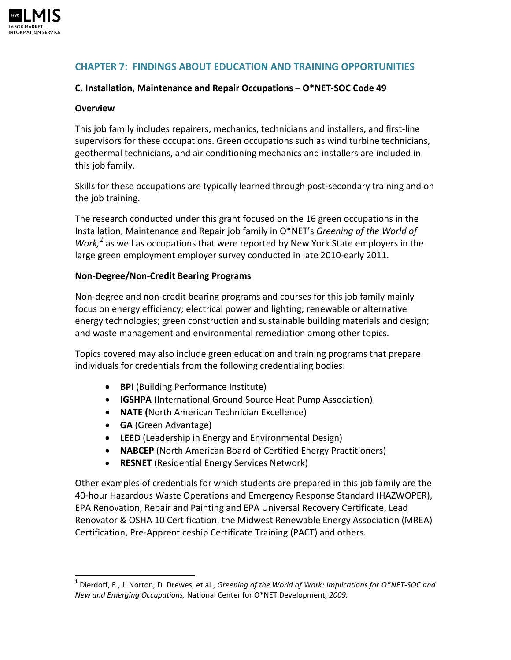

## **CHAPTER 7: FINDINGS ABOUT EDUCATION AND TRAINING OPPORTUNITIES**

### **C. Installation, Maintenance and Repair Occupations – O\*NET-SOC Code 49**

#### **Overview**

 $\overline{\phantom{0}}$ 

This job family includes repairers, mechanics, technicians and installers, and first-line supervisors for these occupations. Green occupations such as wind turbine technicians, geothermal technicians, and air conditioning mechanics and installers are included in this job family.

Skills for these occupations are typically learned through post-secondary training and on the job training.

The research conducted under this grant focused on the 16 green occupations in the Installation, Maintenance and Repair job family in O\*NET's *Greening of the World of Work,[1](#page-0-0)* as well as occupations that were reported by New York State employers in the large green employment employer survey conducted in late 2010-early 2011.

#### **Non-Degree/Non-Credit Bearing Programs**

Non-degree and non-credit bearing programs and courses for this job family mainly focus on energy efficiency; electrical power and lighting; renewable or alternative energy technologies; green construction and sustainable building materials and design; and waste management and environmental remediation among other topics.

Topics covered may also include green education and training programs that prepare individuals for credentials from the following credentialing bodies:

- **BPI** (Building Performance Institute)
- **IGSHPA** (International Ground Source Heat Pump Association)
- **NATE (**North American Technician Excellence)
- **GA** (Green Advantage)
- **LEED** (Leadership in Energy and Environmental Design)
- **NABCEP** (North American Board of Certified Energy Practitioners)
- **RESNET** (Residential Energy Services Network)

Other examples of credentials for which students are prepared in this job family are the 40-hour Hazardous Waste Operations and Emergency Response Standard (HAZWOPER), EPA Renovation, Repair and Painting and EPA Universal Recovery Certificate, Lead Renovator & OSHA 10 Certification, the Midwest Renewable Energy Association (MREA) Certification, Pre-Apprenticeship Certificate Training (PACT) and others.

<span id="page-0-0"></span>**<sup>1</sup>** Dierdoff, E., J. Norton, D. Drewes, et al., *Greening of the World of Work: Implications for O\*NET-SOC and New and Emerging Occupations,* National Center for O\*NET Development, *2009.*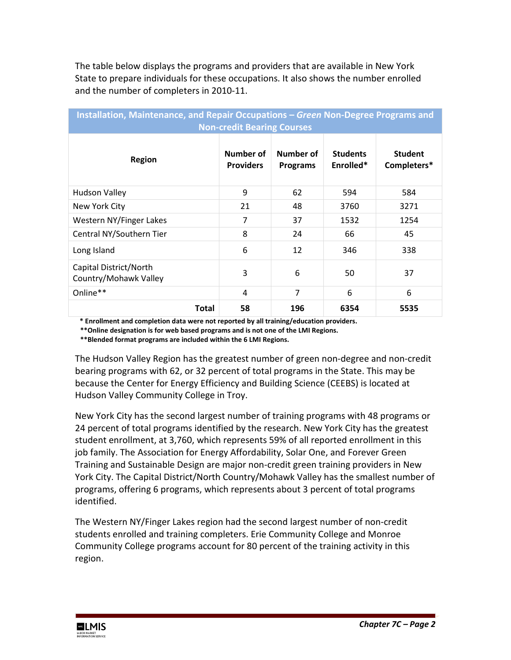The table below displays the programs and providers that are available in New York State to prepare individuals for these occupations. It also shows the number enrolled and the number of completers in 2010-11.

| Installation, Maintenance, and Repair Occupations – Green Non-Degree Programs and<br><b>Non-credit Bearing Courses</b> |                               |                              |                              |                               |  |  |  |  |
|------------------------------------------------------------------------------------------------------------------------|-------------------------------|------------------------------|------------------------------|-------------------------------|--|--|--|--|
| <b>Region</b>                                                                                                          | Number of<br><b>Providers</b> | Number of<br><b>Programs</b> | <b>Students</b><br>Enrolled* | <b>Student</b><br>Completers* |  |  |  |  |
| <b>Hudson Valley</b>                                                                                                   | 9                             | 62                           | 594                          | 584                           |  |  |  |  |
| New York City                                                                                                          | 21                            | 48                           | 3760                         | 3271                          |  |  |  |  |
| Western NY/Finger Lakes                                                                                                | 7                             | 37                           | 1532                         | 1254                          |  |  |  |  |
| Central NY/Southern Tier                                                                                               | 8                             | 24                           | 66                           | 45                            |  |  |  |  |
| Long Island                                                                                                            | 6                             | 12                           | 346                          | 338                           |  |  |  |  |
| Capital District/North<br>Country/Mohawk Valley                                                                        | 3                             | 6                            | 50                           | 37                            |  |  |  |  |
| Online**                                                                                                               | 4                             | $\overline{7}$               | 6                            | 6                             |  |  |  |  |
| <b>Total</b>                                                                                                           | 58                            | 196                          | 6354                         | 5535                          |  |  |  |  |

 **\* Enrollment and completion data were not reported by all training/education providers.**

 **\*\*Online designation is for web based programs and is not one of the LMI Regions.**

 **\*\*Blended format programs are included within the 6 LMI Regions.**

The Hudson Valley Region has the greatest number of green non-degree and non-credit bearing programs with 62, or 32 percent of total programs in the State. This may be because the Center for Energy Efficiency and Building Science (CEEBS) is located at Hudson Valley Community College in Troy.

New York City has the second largest number of training programs with 48 programs or 24 percent of total programs identified by the research. New York City has the greatest student enrollment, at 3,760, which represents 59% of all reported enrollment in this job family. The Association for Energy Affordability, Solar One, and Forever Green Training and Sustainable Design are major non-credit green training providers in New York City. The Capital District/North Country/Mohawk Valley has the smallest number of programs, offering 6 programs, which represents about 3 percent of total programs identified.

The Western NY/Finger Lakes region had the second largest number of non-credit students enrolled and training completers. Erie Community College and Monroe Community College programs account for 80 percent of the training activity in this region.

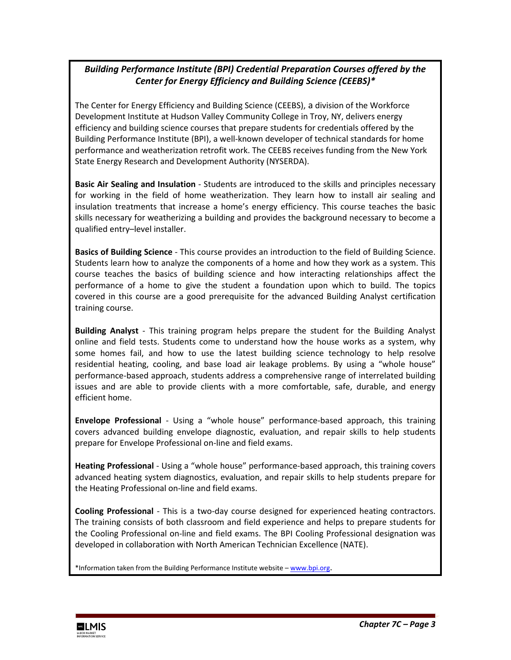# *Building Performance Institute (BPI) Credential Preparation Courses offered by the Center for Energy Efficiency and Building Science (CEEBS)\**

The Center for Energy Efficiency and Building Science (CEEBS), a division of the Workforce Development Institute at Hudson Valley Community College in Troy, NY, delivers energy efficiency and building science courses that prepare students for credentials offered by the Building Performance Institute (BPI), a well-known developer of technical standards for home performance and weatherization retrofit work. The CEEBS receives funding from the New York State Energy Research and Development Authority (NYSERDA).

**Basic Air Sealing and Insulation** - Students are introduced to the skills and principles necessary for working in the field of home weatherization. They learn how to install air sealing and insulation treatments that increase a home's energy efficiency. This course teaches the basic skills necessary for weatherizing a building and provides the background necessary to become a qualified entry–level installer.

**Basics of Building Science** - This course provides an introduction to the field of Building Science. Students learn how to analyze the components of a home and how they work as a system. This course teaches the basics of building science and how interacting relationships affect the performance of a home to give the student a foundation upon which to build. The topics covered in this course are a good prerequisite for the advanced Building Analyst certification training course.

**Building Analyst** - This training program helps prepare the student for the Building Analyst online and field tests. Students come to understand how the house works as a system, why some homes fail, and how to use the latest building science technology to help resolve residential heating, cooling, and base load air leakage problems. By using a "whole house" performance-based approach, students address a comprehensive range of interrelated building issues and are able to provide clients with a more comfortable, safe, durable, and energy efficient home.

**Envelope Professional** - Using a "whole house" performance-based approach, this training covers advanced building envelope diagnostic, evaluation, and repair skills to help students prepare for Envelope Professional on-line and field exams.

**Heating Professional** - Using a "whole house" performance-based approach, this training covers advanced heating system diagnostics, evaluation, and repair skills to help students prepare for the Heating Professional on-line and field exams.

**Cooling Professional** - This is a two-day course designed for experienced heating contractors. The training consists of both classroom and field experience and helps to prepare students for the Cooling Professional on-line and field exams. The BPI Cooling Professional designation was developed in collaboration with North American Technician Excellence (NATE).

\*Information taken from the Building Performance Institute website - [www.bpi.org.](http://www.bpi.org/)

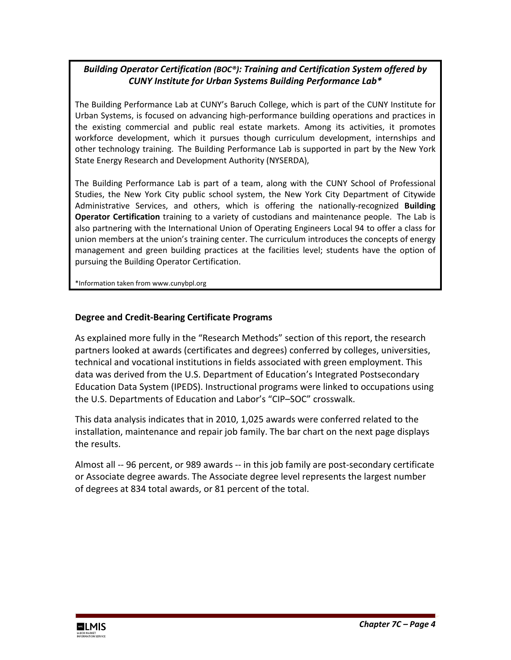# *Building Operator Certification (BOC®): Training and Certification System offered by CUNY Institute for Urban Systems Building Performance Lab\**

The Building Performance Lab at CUNY's Baruch College, which is part of the CUNY Institute for Urban Systems, is focused on advancing high-performance building operations and practices in the existing commercial and public real estate markets. Among its activities, it promotes workforce development, which it pursues though curriculum development, internships and other technology training. The Building Performance Lab is supported in part by the New York State Energy Research and Development Authority (NYSERDA),

The Building Performance Lab is part of a team, along with the CUNY School of Professional Studies, the New York City public school system, the New York City Department of Citywide Administrative Services, and others, which is offering the nationally-recognized **Building Operator Certification** training to a variety of custodians and maintenance people. The Lab is also partnering with the International Union of Operating Engineers Local 94 to offer a class for union members at the union's training center. The curriculum introduces the concepts of energy management and green building practices at the facilities level; students have the option of pursuing the Building Operator Certification.

\*Information taken from www.cunybpl.org

#### **Degree and Credit-Bearing Certificate Programs**

As explained more fully in the "Research Methods" section of this report, the research partners looked at awards (certificates and degrees) conferred by colleges, universities, technical and vocational institutions in fields associated with green employment. This data was derived from the U.S. Department of Education's Integrated Postsecondary Education Data System (IPEDS). Instructional programs were linked to occupations using the U.S. Departments of Education and Labor's "CIP–SOC" crosswalk.

This data analysis indicates that in 2010, 1,025 awards were conferred related to the installation, maintenance and repair job family. The bar chart on the next page displays the results.

Almost all -- 96 percent, or 989 awards -- in this job family are post-secondary certificate or Associate degree awards. The Associate degree level represents the largest number of degrees at 834 total awards, or 81 percent of the total.

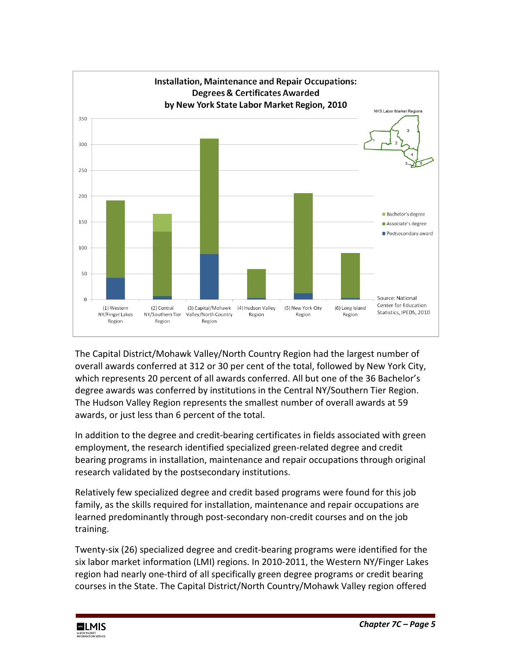

The Capital District/Mohawk Valley/North Country Region had the largest number of overall awards conferred at 312 or 30 per cent of the total, followed by New York City, which represents 20 percent of all awards conferred. All but one of the 36 Bachelor's degree awards was conferred by institutions in the Central NY/Southern Tier Region. The Hudson Valley Region represents the smallest number of overall awards at 59 awards, or just less than 6 percent of the total.

In addition to the degree and credit-bearing certificates in fields associated with green employment, the research identified specialized green-related degree and credit bearing programs in installation, maintenance and repair occupations through original research validated by the postsecondary institutions.

Relatively few specialized degree and credit based programs were found for this job family, as the skills required for installation, maintenance and repair occupations are learned predominantly through post-secondary non-credit courses and on the job training.

Twenty-six (26) specialized degree and credit-bearing programs were identified for the six labor market information (LMI) regions. In 2010-2011, the Western NY/Finger Lakes region had nearly one-third of all specifically green degree programs or credit bearing courses in the State. The Capital District/North Country/Mohawk Valley region offered

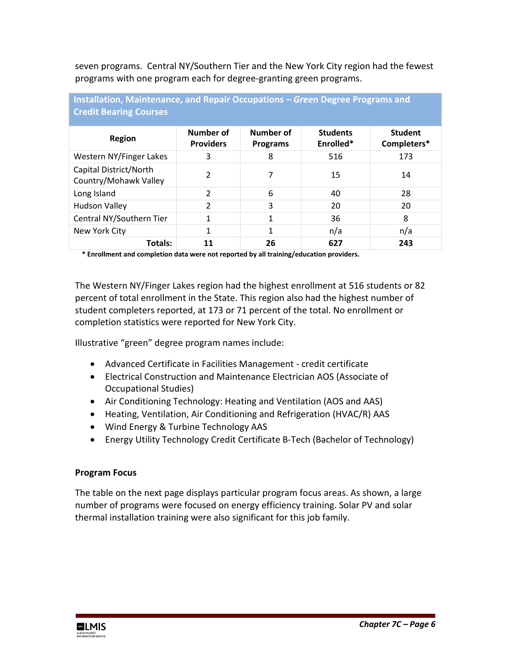seven programs. Central NY/Southern Tier and the New York City region had the fewest programs with one program each for degree-granting green programs.

| <b>Credit Bearing Courses</b>                   |                               |                              |                              |                               |  |  |  |
|-------------------------------------------------|-------------------------------|------------------------------|------------------------------|-------------------------------|--|--|--|
| <b>Region</b>                                   | Number of<br><b>Providers</b> | Number of<br><b>Programs</b> | <b>Students</b><br>Enrolled* | <b>Student</b><br>Completers* |  |  |  |
| Western NY/Finger Lakes                         | 3                             | 8                            | 516                          | 173                           |  |  |  |
| Capital District/North<br>Country/Mohawk Valley | $\mathcal{P}$                 | 7                            | 15                           | 14                            |  |  |  |
| Long Island                                     | $\overline{2}$                | 6                            | 40                           | 28                            |  |  |  |
| <b>Hudson Valley</b>                            | $\overline{2}$                | 3                            | 20                           | 20                            |  |  |  |
| Central NY/Southern Tier                        | 1                             | 1                            | 36                           | 8                             |  |  |  |
| New York City                                   | 1                             | 1                            | n/a                          | n/a                           |  |  |  |
| Totals:                                         | 11                            | 26                           | 627                          | 243                           |  |  |  |

**Installation, Maintenance, and Repair Occupations –** *Green* **Degree Programs and** 

 **\* Enrollment and completion data were not reported by all training/education providers.**

The Western NY/Finger Lakes region had the highest enrollment at 516 students or 82 percent of total enrollment in the State. This region also had the highest number of student completers reported, at 173 or 71 percent of the total. No enrollment or completion statistics were reported for New York City.

Illustrative "green" degree program names include:

- Advanced Certificate in Facilities Management credit certificate
- Electrical Construction and Maintenance Electrician AOS (Associate of Occupational Studies)
- Air Conditioning Technology: Heating and Ventilation (AOS and AAS)
- Heating, Ventilation, Air Conditioning and Refrigeration (HVAC/R) AAS
- Wind Energy & Turbine Technology AAS
- Energy Utility Technology Credit Certificate B-Tech (Bachelor of Technology)

### **Program Focus**

The table on the next page displays particular program focus areas. As shown, a large number of programs were focused on energy efficiency training. Solar PV and solar thermal installation training were also significant for this job family.